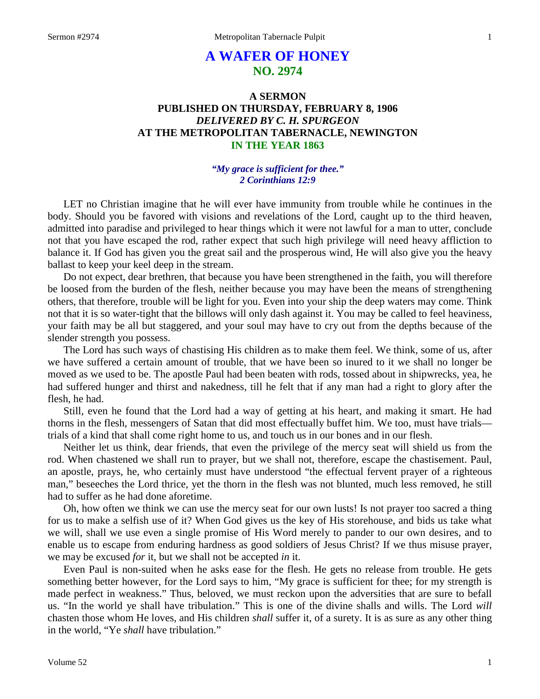# **A WAFER OF HONEY NO. 2974**

# **A SERMON PUBLISHED ON THURSDAY, FEBRUARY 8, 1906** *DELIVERED BY C. H. SPURGEON* **AT THE METROPOLITAN TABERNACLE, NEWINGTON IN THE YEAR 1863**

# *"My grace is sufficient for thee." 2 Corinthians 12:9*

LET no Christian imagine that he will ever have immunity from trouble while he continues in the body. Should you be favored with visions and revelations of the Lord, caught up to the third heaven, admitted into paradise and privileged to hear things which it were not lawful for a man to utter, conclude not that you have escaped the rod, rather expect that such high privilege will need heavy affliction to balance it. If God has given you the great sail and the prosperous wind, He will also give you the heavy ballast to keep your keel deep in the stream.

Do not expect, dear brethren, that because you have been strengthened in the faith, you will therefore be loosed from the burden of the flesh, neither because you may have been the means of strengthening others, that therefore, trouble will be light for you. Even into your ship the deep waters may come. Think not that it is so water-tight that the billows will only dash against it. You may be called to feel heaviness, your faith may be all but staggered, and your soul may have to cry out from the depths because of the slender strength you possess.

The Lord has such ways of chastising His children as to make them feel. We think, some of us, after we have suffered a certain amount of trouble, that we have been so inured to it we shall no longer be moved as we used to be. The apostle Paul had been beaten with rods, tossed about in shipwrecks, yea, he had suffered hunger and thirst and nakedness, till he felt that if any man had a right to glory after the flesh, he had.

Still, even he found that the Lord had a way of getting at his heart, and making it smart. He had thorns in the flesh, messengers of Satan that did most effectually buffet him. We too, must have trials trials of a kind that shall come right home to us, and touch us in our bones and in our flesh.

Neither let us think, dear friends, that even the privilege of the mercy seat will shield us from the rod. When chastened we shall run to prayer, but we shall not, therefore, escape the chastisement. Paul, an apostle, prays, he, who certainly must have understood "the effectual fervent prayer of a righteous man," beseeches the Lord thrice, yet the thorn in the flesh was not blunted, much less removed, he still had to suffer as he had done aforetime.

Oh, how often we think we can use the mercy seat for our own lusts! Is not prayer too sacred a thing for us to make a selfish use of it? When God gives us the key of His storehouse, and bids us take what we will, shall we use even a single promise of His Word merely to pander to our own desires, and to enable us to escape from enduring hardness as good soldiers of Jesus Christ? If we thus misuse prayer, we may be excused *for* it, but we shall not be accepted *in* it.

Even Paul is non-suited when he asks ease for the flesh. He gets no release from trouble. He gets something better however, for the Lord says to him, "My grace is sufficient for thee; for my strength is made perfect in weakness." Thus, beloved, we must reckon upon the adversities that are sure to befall us. "In the world ye shall have tribulation." This is one of the divine shalls and wills. The Lord *will* chasten those whom He loves, and His children *shall* suffer it, of a surety. It is as sure as any other thing in the world, "Ye *shall* have tribulation."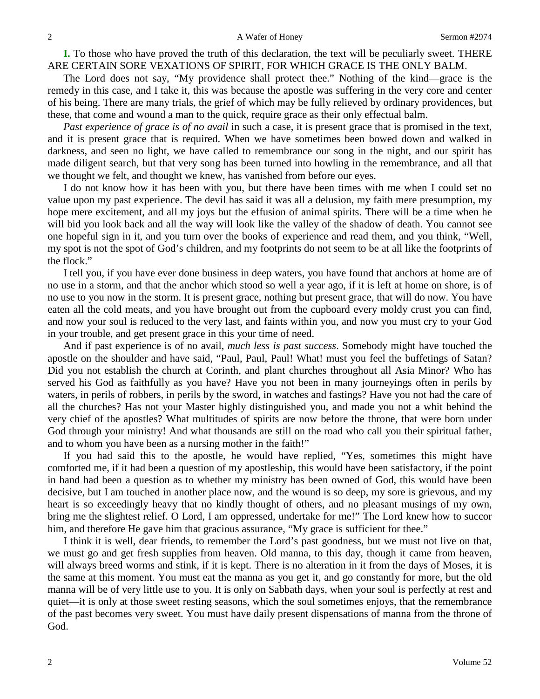**I.** To those who have proved the truth of this declaration, the text will be peculiarly sweet. THERE ARE CERTAIN SORE VEXATIONS OF SPIRIT, FOR WHICH GRACE IS THE ONLY BALM.

The Lord does not say, "My providence shall protect thee." Nothing of the kind—grace is the remedy in this case, and I take it, this was because the apostle was suffering in the very core and center of his being. There are many trials, the grief of which may be fully relieved by ordinary providences, but these, that come and wound a man to the quick, require grace as their only effectual balm.

*Past experience of grace is of no avail* in such a case, it is present grace that is promised in the text, and it is present grace that is required. When we have sometimes been bowed down and walked in darkness, and seen no light, we have called to remembrance our song in the night, and our spirit has made diligent search, but that very song has been turned into howling in the remembrance, and all that we thought we felt, and thought we knew, has vanished from before our eyes.

I do not know how it has been with you, but there have been times with me when I could set no value upon my past experience. The devil has said it was all a delusion, my faith mere presumption, my hope mere excitement, and all my joys but the effusion of animal spirits. There will be a time when he will bid you look back and all the way will look like the valley of the shadow of death. You cannot see one hopeful sign in it, and you turn over the books of experience and read them, and you think, "Well, my spot is not the spot of God's children, and my footprints do not seem to be at all like the footprints of the flock."

I tell you, if you have ever done business in deep waters, you have found that anchors at home are of no use in a storm, and that the anchor which stood so well a year ago, if it is left at home on shore, is of no use to you now in the storm. It is present grace, nothing but present grace, that will do now. You have eaten all the cold meats, and you have brought out from the cupboard every moldy crust you can find, and now your soul is reduced to the very last, and faints within you, and now you must cry to your God in your trouble, and get present grace in this your time of need.

And if past experience is of no avail, *much less is past success*. Somebody might have touched the apostle on the shoulder and have said, "Paul, Paul, Paul! What! must you feel the buffetings of Satan? Did you not establish the church at Corinth, and plant churches throughout all Asia Minor? Who has served his God as faithfully as you have? Have you not been in many journeyings often in perils by waters, in perils of robbers, in perils by the sword, in watches and fastings? Have you not had the care of all the churches? Has not your Master highly distinguished you, and made you not a whit behind the very chief of the apostles? What multitudes of spirits are now before the throne, that were born under God through your ministry! And what thousands are still on the road who call you their spiritual father, and to whom you have been as a nursing mother in the faith!"

If you had said this to the apostle, he would have replied, "Yes, sometimes this might have comforted me, if it had been a question of my apostleship, this would have been satisfactory, if the point in hand had been a question as to whether my ministry has been owned of God, this would have been decisive, but I am touched in another place now, and the wound is so deep, my sore is grievous, and my heart is so exceedingly heavy that no kindly thought of others, and no pleasant musings of my own, bring me the slightest relief. O Lord, I am oppressed, undertake for me!" The Lord knew how to succor him, and therefore He gave him that gracious assurance, "My grace is sufficient for thee."

I think it is well, dear friends, to remember the Lord's past goodness, but we must not live on that, we must go and get fresh supplies from heaven. Old manna, to this day, though it came from heaven, will always breed worms and stink, if it is kept. There is no alteration in it from the days of Moses, it is the same at this moment. You must eat the manna as you get it, and go constantly for more, but the old manna will be of very little use to you. It is only on Sabbath days, when your soul is perfectly at rest and quiet—it is only at those sweet resting seasons, which the soul sometimes enjoys, that the remembrance of the past becomes very sweet. You must have daily present dispensations of manna from the throne of God.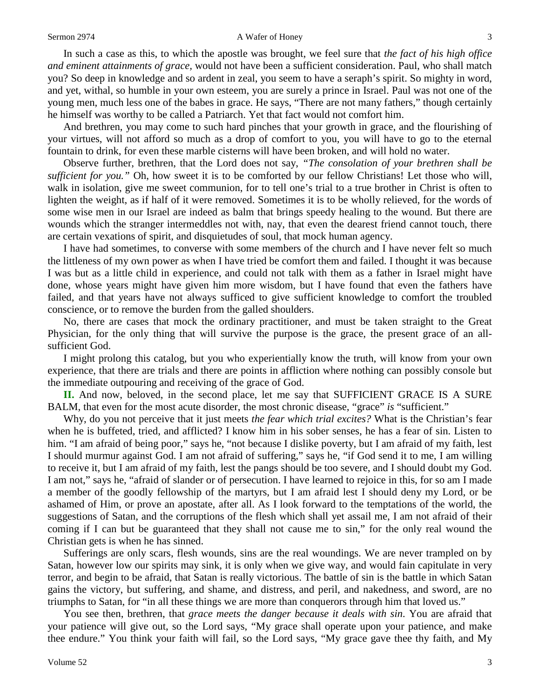#### Sermon 2974 **A** Wafer of Honey 3

In such a case as this, to which the apostle was brought, we feel sure that *the fact of his high office and eminent attainments of grace,* would not have been a sufficient consideration. Paul, who shall match you? So deep in knowledge and so ardent in zeal, you seem to have a seraph's spirit. So mighty in word, and yet, withal, so humble in your own esteem, you are surely a prince in Israel. Paul was not one of the young men, much less one of the babes in grace. He says, "There are not many fathers," though certainly he himself was worthy to be called a Patriarch. Yet that fact would not comfort him.

And brethren, you may come to such hard pinches that your growth in grace, and the flourishing of your virtues, will not afford so much as a drop of comfort to you, you will have to go to the eternal fountain to drink, for even these marble cisterns will have been broken, and will hold no water.

Observe further, brethren, that the Lord does not say, *"The consolation of your brethren shall be sufficient for you."* Oh, how sweet it is to be comforted by our fellow Christians! Let those who will, walk in isolation, give me sweet communion, for to tell one's trial to a true brother in Christ is often to lighten the weight, as if half of it were removed. Sometimes it is to be wholly relieved, for the words of some wise men in our Israel are indeed as balm that brings speedy healing to the wound. But there are wounds which the stranger intermeddles not with, nay, that even the dearest friend cannot touch, there are certain vexations of spirit, and disquietudes of soul, that mock human agency.

I have had sometimes, to converse with some members of the church and I have never felt so much the littleness of my own power as when I have tried be comfort them and failed. I thought it was because I was but as a little child in experience, and could not talk with them as a father in Israel might have done, whose years might have given him more wisdom, but I have found that even the fathers have failed, and that years have not always sufficed to give sufficient knowledge to comfort the troubled conscience, or to remove the burden from the galled shoulders.

No, there are cases that mock the ordinary practitioner, and must be taken straight to the Great Physician, for the only thing that will survive the purpose is the grace, the present grace of an allsufficient God.

I might prolong this catalog, but you who experientially know the truth, will know from your own experience, that there are trials and there are points in affliction where nothing can possibly console but the immediate outpouring and receiving of the grace of God.

**II.** And now, beloved, in the second place, let me say that SUFFICIENT GRACE IS A SURE BALM, that even for the most acute disorder, the most chronic disease, "grace" *is* "sufficient."

Why, do you not perceive that it just meets *the fear which trial excites?* What is the Christian's fear when he is buffeted, tried, and afflicted? I know him in his sober senses, he has a fear of sin. Listen to him. "I am afraid of being poor," says he, "not because I dislike poverty, but I am afraid of my faith, lest I should murmur against God. I am not afraid of suffering," says he, "if God send it to me, I am willing to receive it, but I am afraid of my faith, lest the pangs should be too severe, and I should doubt my God. I am not," says he, "afraid of slander or of persecution. I have learned to rejoice in this, for so am I made a member of the goodly fellowship of the martyrs, but I am afraid lest I should deny my Lord, or be ashamed of Him, or prove an apostate, after all. As I look forward to the temptations of the world, the suggestions of Satan, and the corruptions of the flesh which shall yet assail me, I am not afraid of their coming if I can but be guaranteed that they shall not cause me to sin," for the only real wound the Christian gets is when he has sinned.

Sufferings are only scars, flesh wounds, sins are the real woundings. We are never trampled on by Satan, however low our spirits may sink, it is only when we give way, and would fain capitulate in very terror, and begin to be afraid, that Satan is really victorious. The battle of sin is the battle in which Satan gains the victory, but suffering, and shame, and distress, and peril, and nakedness, and sword, are no triumphs to Satan, for "in all these things we are more than conquerors through him that loved us."

You see then, brethren, that *grace meets the danger because it deals with sin*. You are afraid that your patience will give out, so the Lord says, "My grace shall operate upon your patience, and make thee endure." You think your faith will fail, so the Lord says, "My grace gave thee thy faith, and My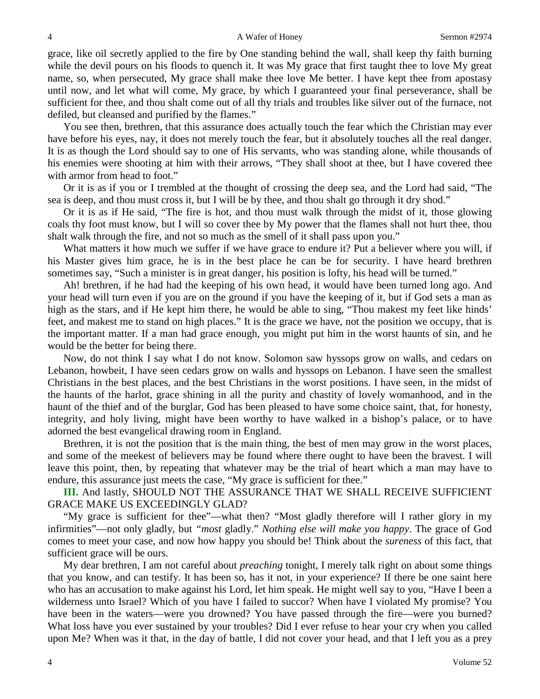grace, like oil secretly applied to the fire by One standing behind the wall, shall keep thy faith burning while the devil pours on his floods to quench it. It was My grace that first taught thee to love My great name, so, when persecuted, My grace shall make thee love Me better. I have kept thee from apostasy until now, and let what will come, My grace, by which I guaranteed your final perseverance, shall be sufficient for thee, and thou shalt come out of all thy trials and troubles like silver out of the furnace, not defiled, but cleansed and purified by the flames."

You see then, brethren, that this assurance does actually touch the fear which the Christian may ever have before his eyes, nay, it does not merely touch the fear, but it absolutely touches all the real danger. It is as though the Lord should say to one of His servants, who was standing alone, while thousands of his enemies were shooting at him with their arrows, "They shall shoot at thee, but I have covered thee with armor from head to foot."

Or it is as if you or I trembled at the thought of crossing the deep sea, and the Lord had said, "The sea is deep, and thou must cross it, but I will be by thee, and thou shalt go through it dry shod."

Or it is as if He said, "The fire is hot, and thou must walk through the midst of it, those glowing coals thy foot must know, but I will so cover thee by My power that the flames shall not hurt thee, thou shalt walk through the fire, and not so much as the smell of it shall pass upon you."

What matters it how much we suffer if we have grace to endure it? Put a believer where you will, if his Master gives him grace, he is in the best place he can be for security. I have heard brethren sometimes say, "Such a minister is in great danger, his position is lofty, his head will be turned."

Ah! brethren, if he had had the keeping of his own head, it would have been turned long ago. And your head will turn even if you are on the ground if you have the keeping of it, but if God sets a man as high as the stars, and if He kept him there, he would be able to sing, "Thou makest my feet like hinds' feet, and makest me to stand on high places." It is the grace we have, not the position we occupy, that is the important matter. If a man had grace enough, you might put him in the worst haunts of sin, and he would be the better for being there.

Now, do not think I say what I do not know. Solomon saw hyssops grow on walls, and cedars on Lebanon, howbeit, I have seen cedars grow on walls and hyssops on Lebanon. I have seen the smallest Christians in the best places, and the best Christians in the worst positions. I have seen, in the midst of the haunts of the harlot, grace shining in all the purity and chastity of lovely womanhood, and in the haunt of the thief and of the burglar, God has been pleased to have some choice saint, that, for honesty, integrity, and holy living, might have been worthy to have walked in a bishop's palace, or to have adorned the best evangelical drawing room in England.

Brethren, it is not the position that is the main thing, the best of men may grow in the worst places, and some of the meekest of believers may be found where there ought to have been the bravest. I will leave this point, then, by repeating that whatever may be the trial of heart which a man may have to endure, this assurance just meets the case, "My grace is sufficient for thee."

**III.** And lastly, SHOULD NOT THE ASSURANCE THAT WE SHALL RECEIVE SUFFICIENT GRACE MAKE US EXCEEDINGLY GLAD?

"My grace is sufficient for thee"—what then? "Most gladly therefore will I rather glory in my infirmities"—not only gladly, but *"most* gladly." *Nothing else will make you happy*. The grace of God comes to meet your case, and now how happy you should be! Think about the *sureness* of this fact, that sufficient grace will be ours.

My dear brethren, I am not careful about *preaching* tonight, I merely talk right on about some things that you know, and can testify. It has been so, has it not, in your experience? If there be one saint here who has an accusation to make against his Lord, let him speak. He might well say to you, "Have I been a wilderness unto Israel? Which of you have I failed to succor? When have I violated My promise? You have been in the waters—were you drowned? You have passed through the fire—were you burned? What loss have you ever sustained by your troubles? Did I ever refuse to hear your cry when you called upon Me? When was it that, in the day of battle, I did not cover your head, and that I left you as a prey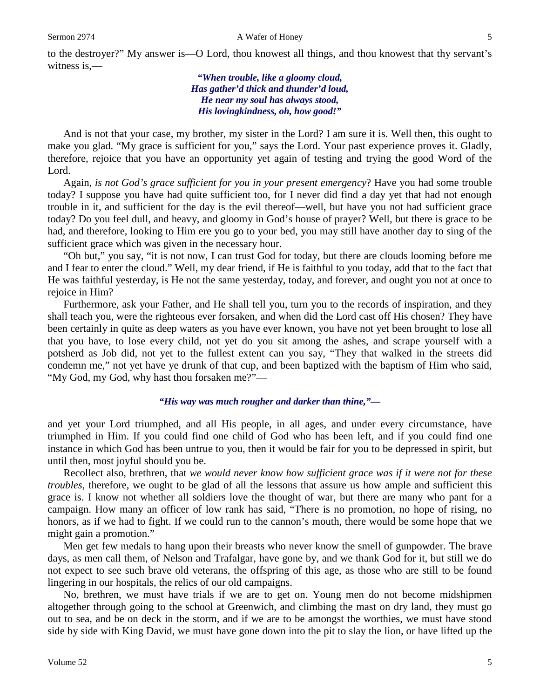to the destroyer?" My answer is—O Lord, thou knowest all things, and thou knowest that thy servant's witness is,—

> *"When trouble, like a gloomy cloud, Has gather'd thick and thunder'd loud, He near my soul has always stood, His lovingkindness, oh, how good!"*

And is not that your case, my brother, my sister in the Lord? I am sure it is. Well then, this ought to make you glad. "My grace is sufficient for you," says the Lord. Your past experience proves it. Gladly, therefore, rejoice that you have an opportunity yet again of testing and trying the good Word of the Lord.

Again, *is not God's grace sufficient for you in your present emergency*? Have you had some trouble today? I suppose you have had quite sufficient too, for I never did find a day yet that had not enough trouble in it, and sufficient for the day is the evil thereof—well, but have you not had sufficient grace today? Do you feel dull, and heavy, and gloomy in God's house of prayer? Well, but there is grace to be had, and therefore, looking to Him ere you go to your bed, you may still have another day to sing of the sufficient grace which was given in the necessary hour.

"Oh but," you say, "it is not now, I can trust God for today, but there are clouds looming before me and I fear to enter the cloud." Well, my dear friend, if He is faithful to you today, add that to the fact that He was faithful yesterday, is He not the same yesterday, today, and forever, and ought you not at once to rejoice in Him?

Furthermore, ask your Father, and He shall tell you, turn you to the records of inspiration, and they shall teach you, were the righteous ever forsaken, and when did the Lord cast off His chosen? They have been certainly in quite as deep waters as you have ever known, you have not yet been brought to lose all that you have, to lose every child, not yet do you sit among the ashes, and scrape yourself with a potsherd as Job did, not yet to the fullest extent can you say, "They that walked in the streets did condemn me," not yet have ye drunk of that cup, and been baptized with the baptism of Him who said, "My God, my God, why hast thou forsaken me?"—

#### *"His way was much rougher and darker than thine,"—*

and yet your Lord triumphed, and all His people, in all ages, and under every circumstance, have triumphed in Him. If you could find one child of God who has been left, and if you could find one instance in which God has been untrue to you, then it would be fair for you to be depressed in spirit, but until then, most joyful should you be.

Recollect also, brethren, that *we would never know how sufficient grace was if it were not for these troubles*, therefore, we ought to be glad of all the lessons that assure us how ample and sufficient this grace is. I know not whether all soldiers love the thought of war, but there are many who pant for a campaign. How many an officer of low rank has said, "There is no promotion, no hope of rising, no honors, as if we had to fight. If we could run to the cannon's mouth, there would be some hope that we might gain a promotion."

Men get few medals to hang upon their breasts who never know the smell of gunpowder. The brave days, as men call them, of Nelson and Trafalgar, have gone by, and we thank God for it, but still we do not expect to see such brave old veterans, the offspring of this age, as those who are still to be found lingering in our hospitals, the relics of our old campaigns.

No, brethren, we must have trials if we are to get on. Young men do not become midshipmen altogether through going to the school at Greenwich, and climbing the mast on dry land, they must go out to sea, and be on deck in the storm, and if we are to be amongst the worthies, we must have stood side by side with King David, we must have gone down into the pit to slay the lion, or have lifted up the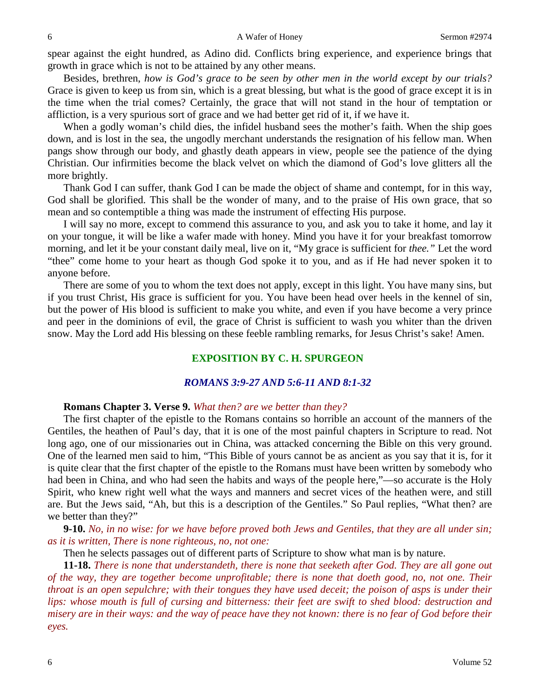spear against the eight hundred, as Adino did. Conflicts bring experience, and experience brings that growth in grace which is not to be attained by any other means.

Besides, brethren, *how is God's grace to be seen by other men in the world except by our trials?* Grace is given to keep us from sin, which is a great blessing, but what is the good of grace except it is in the time when the trial comes? Certainly, the grace that will not stand in the hour of temptation or affliction, is a very spurious sort of grace and we had better get rid of it, if we have it.

When a godly woman's child dies, the infidel husband sees the mother's faith. When the ship goes down, and is lost in the sea, the ungodly merchant understands the resignation of his fellow man. When pangs show through our body, and ghastly death appears in view, people see the patience of the dying Christian. Our infirmities become the black velvet on which the diamond of God's love glitters all the more brightly.

Thank God I can suffer, thank God I can be made the object of shame and contempt, for in this way, God shall be glorified. This shall be the wonder of many, and to the praise of His own grace, that so mean and so contemptible a thing was made the instrument of effecting His purpose.

I will say no more, except to commend this assurance to you, and ask you to take it home, and lay it on your tongue, it will be like a wafer made with honey. Mind you have it for your breakfast tomorrow morning, and let it be your constant daily meal, live on it, "My grace is sufficient for *thee."* Let the word "thee" come home to your heart as though God spoke it to you, and as if He had never spoken it to anyone before.

There are some of you to whom the text does not apply, except in this light. You have many sins, but if you trust Christ, His grace is sufficient for you. You have been head over heels in the kennel of sin, but the power of His blood is sufficient to make you white, and even if you have become a very prince and peer in the dominions of evil, the grace of Christ is sufficient to wash you whiter than the driven snow. May the Lord add His blessing on these feeble rambling remarks, for Jesus Christ's sake! Amen.

# **EXPOSITION BY C. H. SPURGEON**

# *ROMANS 3:9-27 AND 5:6-11 AND 8:1-32*

# **Romans Chapter 3. Verse 9.** *What then? are we better than they?*

The first chapter of the epistle to the Romans contains so horrible an account of the manners of the Gentiles, the heathen of Paul's day, that it is one of the most painful chapters in Scripture to read. Not long ago, one of our missionaries out in China, was attacked concerning the Bible on this very ground. One of the learned men said to him, "This Bible of yours cannot be as ancient as you say that it is, for it is quite clear that the first chapter of the epistle to the Romans must have been written by somebody who had been in China, and who had seen the habits and ways of the people here,"—so accurate is the Holy Spirit, who knew right well what the ways and manners and secret vices of the heathen were, and still are. But the Jews said, "Ah, but this is a description of the Gentiles." So Paul replies, "What then? are we better than they?"

**9-10.** *No, in no wise: for we have before proved both Jews and Gentiles, that they are all under sin; as it is written, There is none righteous, no, not one:*

Then he selects passages out of different parts of Scripture to show what man is by nature.

**11-18.** *There is none that understandeth, there is none that seeketh after God. They are all gone out of the way, they are together become unprofitable; there is none that doeth good, no, not one. Their throat is an open sepulchre; with their tongues they have used deceit; the poison of asps is under their lips: whose mouth is full of cursing and bitterness: their feet are swift to shed blood: destruction and misery are in their ways: and the way of peace have they not known: there is no fear of God before their eyes.*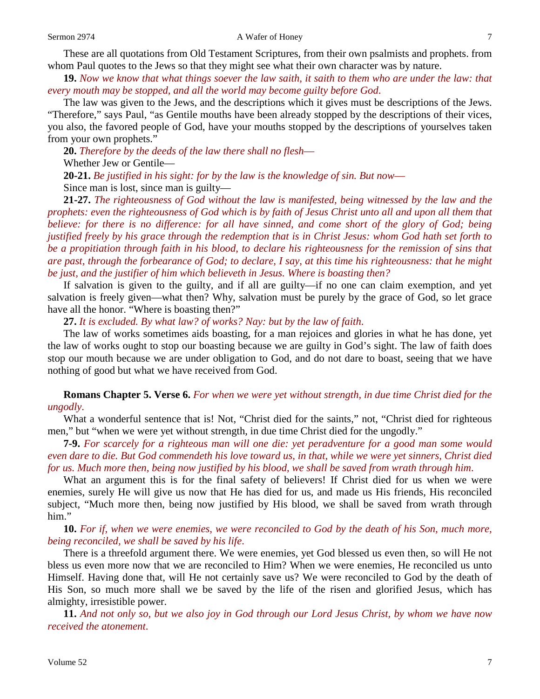These are all quotations from Old Testament Scriptures, from their own psalmists and prophets. from whom Paul quotes to the Jews so that they might see what their own character was by nature.

**19.** *Now we know that what things soever the law saith, it saith to them who are under the law: that every mouth may be stopped, and all the world may become guilty before God*.

The law was given to the Jews, and the descriptions which it gives must be descriptions of the Jews. "Therefore," says Paul, "as Gentile mouths have been already stopped by the descriptions of their vices, you also, the favored people of God, have your mouths stopped by the descriptions of yourselves taken from your own prophets."

**20.** *Therefore by the deeds of the law there shall no flesh*—

Whether Jew or Gentile—

**20-21.** *Be justified in his sight: for by the law is the knowledge of sin. But now*—

Since man is lost, since man is guilty—

**21-27.** *The righteousness of God without the law is manifested, being witnessed by the law and the prophets: even the righteousness of God which is by faith of Jesus Christ unto all and upon all them that believe: for there is no difference: for all have sinned, and come short of the glory of God; being justified freely by his grace through the redemption that is in Christ Jesus: whom God hath set forth to be a propitiation through faith in his blood, to declare his righteousness for the remission of sins that are past, through the forbearance of God; to declare, I say, at this time his righteousness: that he might be just, and the justifier of him which believeth in Jesus. Where is boasting then?*

If salvation is given to the guilty, and if all are guilty—if no one can claim exemption, and yet salvation is freely given—what then? Why, salvation must be purely by the grace of God, so let grace have all the honor. "Where is boasting then?"

**27.** *It is excluded. By what law? of works? Nay: but by the law of faith*.

The law of works sometimes aids boasting, for a man rejoices and glories in what he has done, yet the law of works ought to stop our boasting because we are guilty in God's sight. The law of faith does stop our mouth because we are under obligation to God, and do not dare to boast, seeing that we have nothing of good but what we have received from God.

**Romans Chapter 5. Verse 6.** *For when we were yet without strength, in due time Christ died for the ungodly*.

What a wonderful sentence that is! Not, "Christ died for the saints," not, "Christ died for righteous men," but "when we were yet without strength, in due time Christ died for the ungodly."

**7-9.** *For scarcely for a righteous man will one die: yet peradventure for a good man some would even dare to die. But God commendeth his love toward us, in that, while we were yet sinners, Christ died for us. Much more then, being now justified by his blood, we shall be saved from wrath through him*.

What an argument this is for the final safety of believers! If Christ died for us when we were enemies, surely He will give us now that He has died for us, and made us His friends, His reconciled subject, "Much more then, being now justified by His blood, we shall be saved from wrath through him."

**10.** *For if, when we were enemies, we were reconciled to God by the death of his Son, much more, being reconciled, we shall be saved by his life*.

There is a threefold argument there. We were enemies, yet God blessed us even then, so will He not bless us even more now that we are reconciled to Him? When we were enemies, He reconciled us unto Himself. Having done that, will He not certainly save us? We were reconciled to God by the death of His Son, so much more shall we be saved by the life of the risen and glorified Jesus, which has almighty, irresistible power.

**11.** *And not only so, but we also joy in God through our Lord Jesus Christ, by whom we have now received the atonement*.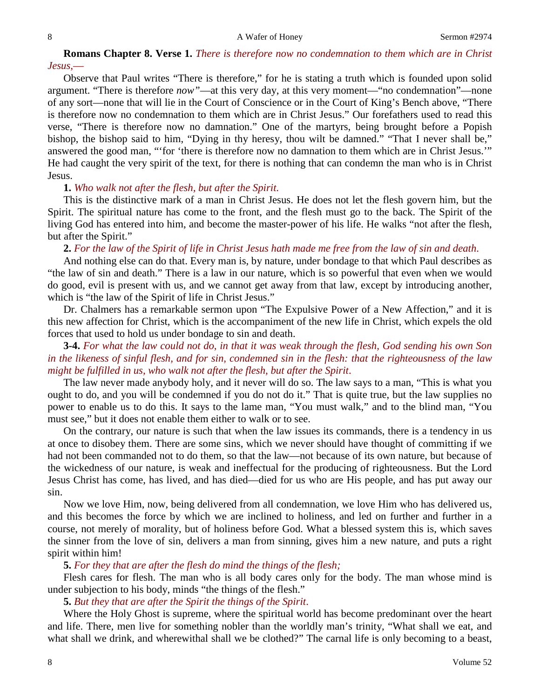# **Romans Chapter 8. Verse 1.** *There is therefore now no condemnation to them which are in Christ Jesus,*—

Observe that Paul writes "There is therefore," for he is stating a truth which is founded upon solid argument. "There is therefore *now"*—at this very day, at this very moment—"no condemnation"—none of any sort—none that will lie in the Court of Conscience or in the Court of King's Bench above, "There is therefore now no condemnation to them which are in Christ Jesus." Our forefathers used to read this verse, "There is therefore now no damnation." One of the martyrs, being brought before a Popish bishop, the bishop said to him, "Dying in thy heresy, thou wilt be damned." "That I never shall be," answered the good man, "'for 'there is therefore now no damnation to them which are in Christ Jesus.'" He had caught the very spirit of the text, for there is nothing that can condemn the man who is in Christ Jesus.

### **1.** *Who walk not after the flesh, but after the Spirit*.

This is the distinctive mark of a man in Christ Jesus. He does not let the flesh govern him, but the Spirit. The spiritual nature has come to the front, and the flesh must go to the back. The Spirit of the living God has entered into him, and become the master-power of his life. He walks "not after the flesh, but after the Spirit."

**2.** *For the law of the Spirit of life in Christ Jesus hath made me free from the law of sin and death*.

And nothing else can do that. Every man is, by nature, under bondage to that which Paul describes as "the law of sin and death." There is a law in our nature, which is so powerful that even when we would do good, evil is present with us, and we cannot get away from that law, except by introducing another, which is "the law of the Spirit of life in Christ Jesus."

Dr. Chalmers has a remarkable sermon upon "The Expulsive Power of a New Affection," and it is this new affection for Christ, which is the accompaniment of the new life in Christ, which expels the old forces that used to hold us under bondage to sin and death.

**3-4.** *For what the law could not do, in that it was weak through the flesh, God sending his own Son in the likeness of sinful flesh, and for sin, condemned sin in the flesh: that the righteousness of the law might be fulfilled in us, who walk not after the flesh, but after the Spirit*.

The law never made anybody holy, and it never will do so. The law says to a man, "This is what you ought to do, and you will be condemned if you do not do it." That is quite true, but the law supplies no power to enable us to do this. It says to the lame man, "You must walk," and to the blind man, "You must see," but it does not enable them either to walk or to see.

On the contrary, our nature is such that when the law issues its commands, there is a tendency in us at once to disobey them. There are some sins, which we never should have thought of committing if we had not been commanded not to do them, so that the law—not because of its own nature, but because of the wickedness of our nature, is weak and ineffectual for the producing of righteousness. But the Lord Jesus Christ has come, has lived, and has died—died for us who are His people, and has put away our sin.

Now we love Him, now, being delivered from all condemnation, we love Him who has delivered us, and this becomes the force by which we are inclined to holiness, and led on further and further in a course, not merely of morality, but of holiness before God. What a blessed system this is, which saves the sinner from the love of sin, delivers a man from sinning, gives him a new nature, and puts a right spirit within him!

#### **5.** *For they that are after the flesh do mind the things of the flesh;*

Flesh cares for flesh. The man who is all body cares only for the body. The man whose mind is under subjection to his body, minds "the things of the flesh."

**5.** *But they that are after the Spirit the things of the Spirit*.

Where the Holy Ghost is supreme, where the spiritual world has become predominant over the heart and life. There, men live for something nobler than the worldly man's trinity, "What shall we eat, and what shall we drink, and wherewithal shall we be clothed?" The carnal life is only becoming to a beast,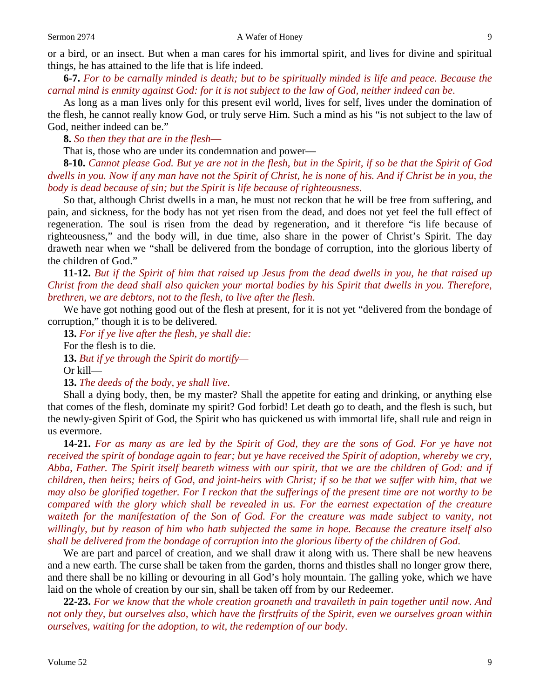or a bird, or an insect. But when a man cares for his immortal spirit, and lives for divine and spiritual things, he has attained to the life that is life indeed.

**6-7.** *For to be carnally minded is death; but to be spiritually minded is life and peace. Because the carnal mind is enmity against God: for it is not subject to the law of God, neither indeed can be*.

As long as a man lives only for this present evil world, lives for self, lives under the domination of the flesh, he cannot really know God, or truly serve Him. Such a mind as his "is not subject to the law of God, neither indeed can be."

**8.** *So then they that are in the flesh*—

That is, those who are under its condemnation and power—

**8-10.** *Cannot please God. But ye are not in the flesh, but in the Spirit, if so be that the Spirit of God dwells in you. Now if any man have not the Spirit of Christ, he is none of his. And if Christ be in you, the body is dead because of sin; but the Spirit is life because of righteousness*.

So that, although Christ dwells in a man, he must not reckon that he will be free from suffering, and pain, and sickness, for the body has not yet risen from the dead, and does not yet feel the full effect of regeneration. The soul is risen from the dead by regeneration, and it therefore "is life because of righteousness," and the body will, in due time, also share in the power of Christ's Spirit. The day draweth near when we "shall be delivered from the bondage of corruption, into the glorious liberty of the children of God."

**11-12.** *But if the Spirit of him that raised up Jesus from the dead dwells in you, he that raised up Christ from the dead shall also quicken your mortal bodies by his Spirit that dwells in you. Therefore, brethren, we are debtors, not to the flesh, to live after the flesh*.

We have got nothing good out of the flesh at present, for it is not yet "delivered from the bondage of corruption," though it is to be delivered.

**13.** *For if ye live after the flesh, ye shall die:* For the flesh is to die. **13.** *But if ye through the Spirit do mortify—*

Or kill—

**13.** *The deeds of the body, ye shall live*.

Shall a dying body, then, be my master? Shall the appetite for eating and drinking, or anything else that comes of the flesh, dominate my spirit? God forbid! Let death go to death, and the flesh is such, but the newly-given Spirit of God, the Spirit who has quickened us with immortal life, shall rule and reign in us evermore.

**14-21.** *For as many as are led by the Spirit of God, they are the sons of God. For ye have not received the spirit of bondage again to fear; but ye have received the Spirit of adoption, whereby we cry, Abba, Father. The Spirit itself beareth witness with our spirit, that we are the children of God: and if children, then heirs; heirs of God, and joint-heirs with Christ; if so be that we suffer with him, that we may also be glorified together. For I reckon that the sufferings of the present time are not worthy to be compared with the glory which shall be revealed in us. For the earnest expectation of the creature waiteth for the manifestation of the Son of God. For the creature was made subject to vanity, not willingly, but by reason of him who hath subjected the same in hope. Because the creature itself also shall be delivered from the bondage of corruption into the glorious liberty of the children of God*.

We are part and parcel of creation, and we shall draw it along with us. There shall be new heavens and a new earth. The curse shall be taken from the garden, thorns and thistles shall no longer grow there, and there shall be no killing or devouring in all God's holy mountain. The galling yoke, which we have laid on the whole of creation by our sin, shall be taken off from by our Redeemer.

**22-23.** *For we know that the whole creation groaneth and travaileth in pain together until now. And not only they, but ourselves also, which have the firstfruits of the Spirit, even we ourselves groan within ourselves, waiting for the adoption, to wit, the redemption of our body*.